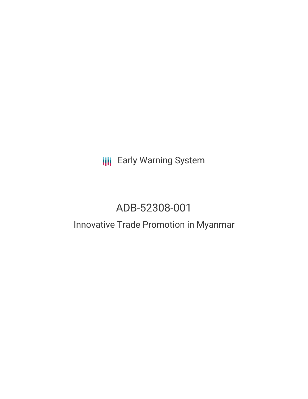# **III** Early Warning System

# ADB-52308-001

# Innovative Trade Promotion in Myanmar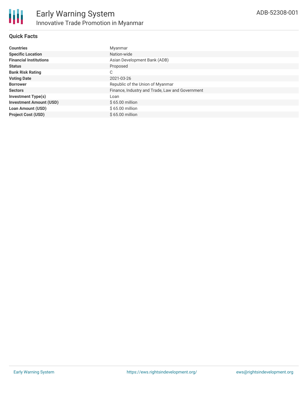### **Quick Facts**

| <b>Countries</b>               | Myanmar                                         |
|--------------------------------|-------------------------------------------------|
| <b>Specific Location</b>       | Nation-wide                                     |
| <b>Financial Institutions</b>  | Asian Development Bank (ADB)                    |
| <b>Status</b>                  | Proposed                                        |
| <b>Bank Risk Rating</b>        | C                                               |
| <b>Voting Date</b>             | 2021-03-26                                      |
| <b>Borrower</b>                | Republic of the Union of Myanmar                |
| <b>Sectors</b>                 | Finance, Industry and Trade, Law and Government |
| <b>Investment Type(s)</b>      | Loan                                            |
| <b>Investment Amount (USD)</b> | $$65.00$ million                                |
| <b>Loan Amount (USD)</b>       | \$65.00 million                                 |
| <b>Project Cost (USD)</b>      | \$65,00 million                                 |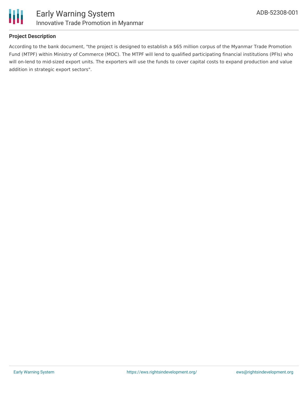

### **Project Description**

According to the bank document, "the project is designed to establish a \$65 million corpus of the Myanmar Trade Promotion Fund (MTPF) within Ministry of Commerce (MOC). The MTPF will lend to qualified participating financial institutions (PFIs) who will on-lend to mid-sized export units. The exporters will use the funds to cover capital costs to expand production and value addition in strategic export sectors".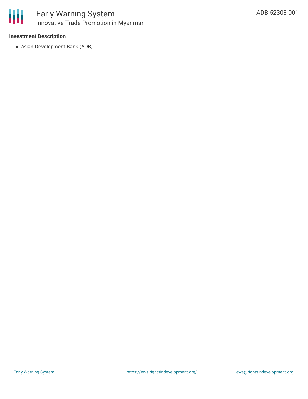

### **Investment Description**

Asian Development Bank (ADB)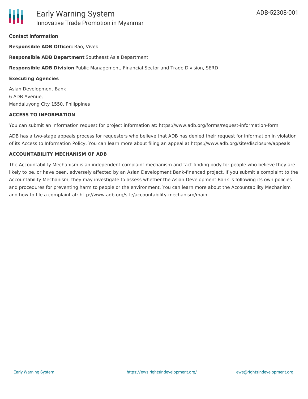#### **Contact Information**

**Responsible ADB Officer:** Rao, Vivek

**Responsible ADB Department** Southeast Asia Department

**Responsible ADB Division** Public Management, Financial Sector and Trade Division, SERD

#### **Executing Agencies**

Asian Development Bank 6 ADB Avenue, Mandaluyong City 1550, Philippines

#### **ACCESS TO INFORMATION**

You can submit an information request for project information at: https://www.adb.org/forms/request-information-form

ADB has a two-stage appeals process for requesters who believe that ADB has denied their request for information in violation of its Access to Information Policy. You can learn more about filing an appeal at https://www.adb.org/site/disclosure/appeals

#### **ACCOUNTABILITY MECHANISM OF ADB**

The Accountability Mechanism is an independent complaint mechanism and fact-finding body for people who believe they are likely to be, or have been, adversely affected by an Asian Development Bank-financed project. If you submit a complaint to the Accountability Mechanism, they may investigate to assess whether the Asian Development Bank is following its own policies and procedures for preventing harm to people or the environment. You can learn more about the Accountability Mechanism and how to file a complaint at: http://www.adb.org/site/accountability-mechanism/main.